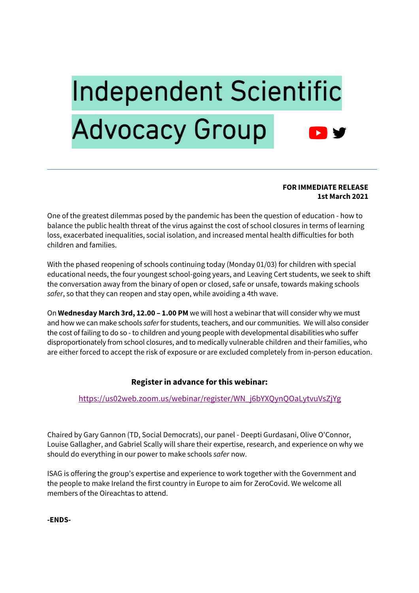# **Independent Scientific Advocacy Group**

#### **FOR IMMEDIATE RELEASE 1st March 2021**

One of the greatest dilemmas posed by the pandemic has been the question of education - how to balance the public health threat of the virus against the cost of school closures in terms of learning loss, exacerbated inequalities, social isolation, and increased mental health difficulties for both children and families.

With the phased reopening of schools continuing today (Monday 01/03) for children with special educational needs, the four youngest school-going years, and Leaving Cert students, we seek to shift the conversation away from the binary of open or closed, safe or unsafe, towards making schools *safer*, so that they can reopen and stay open, while avoiding a 4th wave.

On **Wednesday March 3rd, 12.00 – 1.00 PM** we will host a webinar that will consider why we must and how we can make schools *safer*for students, teachers, and our communities. We will also consider the cost of failing to do so - to children and young people with developmental disabilities who suffer disproportionately from school closures, and to medically vulnerable children and their families, who are either forced to accept the risk of exposure or are excluded completely from in-person education.

## **Register in advance for this webinar:**

## https://us02web.zoom.us/webinar/register/WN\_j6bYXQynQOaLytvuVsZjYg

Chaired by Gary Gannon (TD, Social Democrats), our panel - Deepti Gurdasani, Olive O'Connor, Louise Gallagher, and Gabriel Scally will share their expertise, research, and experience on why we should do everything in our power to make schools *safer* now.

ISAG is offering the group's expertise and experience to work together with the Government and the people to make Ireland the first country in Europe to aim for ZeroCovid. We welcome all members of the Oireachtas to attend.

**-ENDS-**